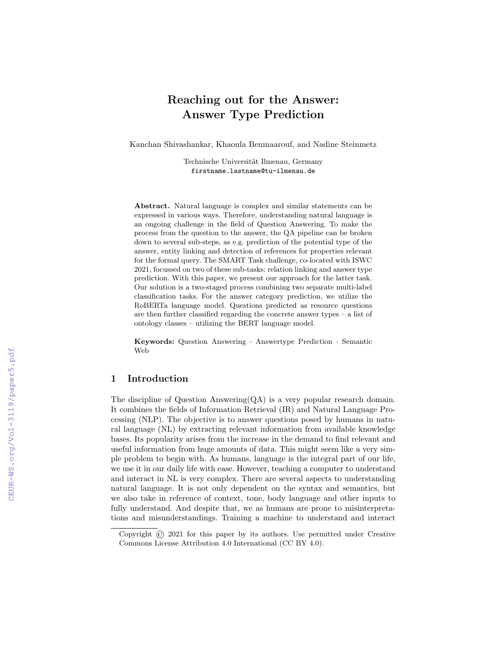# Reaching out for the Answer: Answer Type Prediction

Kanchan Shivashankar, Khaoula Benmaarouf, and Nadine Steinmetz

Technische Universität Ilmenau, Germany firstname.lastname@tu-ilmenau.de

Abstract. Natural language is complex and similar statements can be expressed in various ways. Therefore, understanding natural language is an ongoing challenge in the field of Question Answering. To make the process from the question to the answer, the QA pipeline can be broken down to several sub-steps, as e.g. prediction of the potential type of the answer, entity linking and detection of references for properties relevant for the formal query. The SMART Task challenge, co-located with ISWC 2021, focussed on two of these sub-tasks: relation linking and answer type prediction. With this paper, we present our approach for the latter task. Our solution is a two-staged process combining two separate multi-label classification tasks. For the answer category prediction, we utilize the RoBERTa language model. Questions predicted as resource questions are then further classified regarding the concrete answer types – a list of ontology classes – utilizing the BERT language model.

Keywords: Question Answering · Answertype Prediction · Semantic Web

# 1 Introduction

The discipline of Question Answering $(QA)$  is a very popular research domain. It combines the fields of Information Retrieval (IR) and Natural Language Processing (NLP). The objective is to answer questions posed by humans in natural language (NL) by extracting relevant information from available knowledge bases. Its popularity arises from the increase in the demand to find relevant and useful information from huge amounts of data. This might seem like a very simple problem to begin with. As humans, language is the integral part of our life, we use it in our daily life with ease. However, teaching a computer to understand and interact in NL is very complex. There are several aspects to understanding natural language. It is not only dependent on the syntax and semantics, but we also take in reference of context, tone, body language and other inputs to fully understand. And despite that, we as humans are prone to misinterpretations and misunderstandings. Training a machine to understand and interact

Copyright © 2021 for this paper by its authors. Use permitted under Creative Commons License Attribution 4.0 International (CC BY 4.0).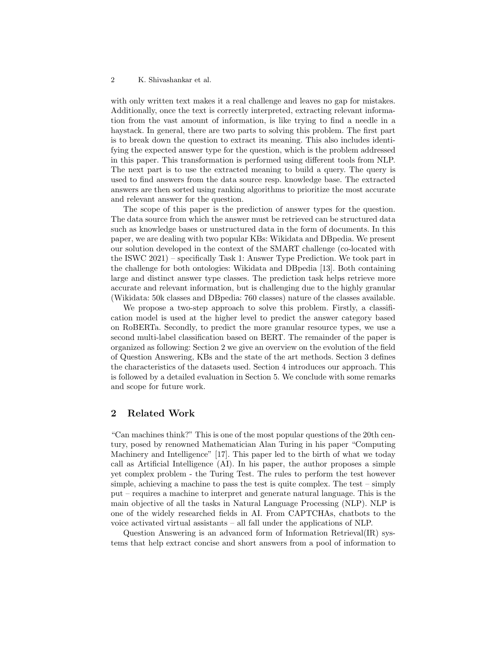with only written text makes it a real challenge and leaves no gap for mistakes. Additionally, once the text is correctly interpreted, extracting relevant information from the vast amount of information, is like trying to find a needle in a haystack. In general, there are two parts to solving this problem. The first part is to break down the question to extract its meaning. This also includes identifying the expected answer type for the question, which is the problem addressed in this paper. This transformation is performed using different tools from NLP. The next part is to use the extracted meaning to build a query. The query is used to find answers from the data source resp. knowledge base. The extracted answers are then sorted using ranking algorithms to prioritize the most accurate and relevant answer for the question.

The scope of this paper is the prediction of answer types for the question. The data source from which the answer must be retrieved can be structured data such as knowledge bases or unstructured data in the form of documents. In this paper, we are dealing with two popular KBs: Wikidata and DBpedia. We present our solution developed in the context of the SMART challenge (co-located with the ISWC 2021) – specifically Task 1: Answer Type Prediction. We took part in the challenge for both ontologies: Wikidata and DBpedia [13]. Both containing large and distinct answer type classes. The prediction task helps retrieve more accurate and relevant information, but is challenging due to the highly granular (Wikidata: 50k classes and DBpedia: 760 classes) nature of the classes available.

We propose a two-step approach to solve this problem. Firstly, a classification model is used at the higher level to predict the answer category based on RoBERTa. Secondly, to predict the more granular resource types, we use a second multi-label classification based on BERT. The remainder of the paper is organized as following: Section 2 we give an overview on the evolution of the field of Question Answering, KBs and the state of the art methods. Section 3 defines the characteristics of the datasets used. Section 4 introduces our approach. This is followed by a detailed evaluation in Section 5. We conclude with some remarks and scope for future work.

## 2 Related Work

"Can machines think?" This is one of the most popular questions of the 20th century, posed by renowned Mathematician Alan Turing in his paper "Computing Machinery and Intelligence" [17]. This paper led to the birth of what we today call as Artificial Intelligence (AI). In his paper, the author proposes a simple yet complex problem - the Turing Test. The rules to perform the test however simple, achieving a machine to pass the test is quite complex. The test  $-$  simply put – requires a machine to interpret and generate natural language. This is the main objective of all the tasks in Natural Language Processing (NLP). NLP is one of the widely researched fields in AI. From CAPTCHAs, chatbots to the voice activated virtual assistants – all fall under the applications of NLP.

Question Answering is an advanced form of Information Retrieval(IR) systems that help extract concise and short answers from a pool of information to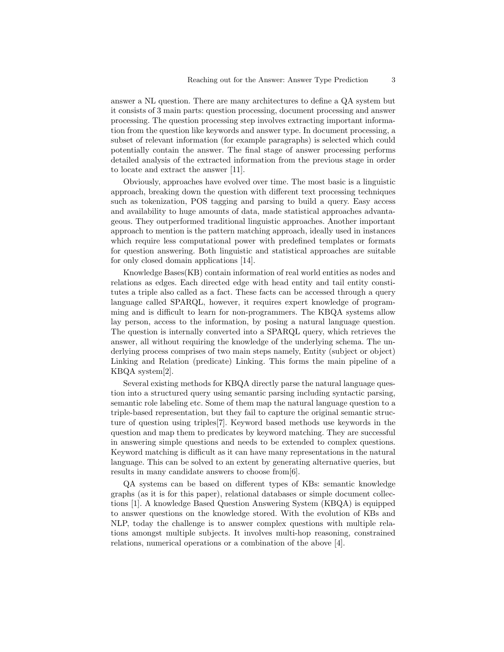answer a NL question. There are many architectures to define a QA system but it consists of 3 main parts: question processing, document processing and answer processing. The question processing step involves extracting important information from the question like keywords and answer type. In document processing, a subset of relevant information (for example paragraphs) is selected which could potentially contain the answer. The final stage of answer processing performs detailed analysis of the extracted information from the previous stage in order to locate and extract the answer [11].

Obviously, approaches have evolved over time. The most basic is a linguistic approach, breaking down the question with different text processing techniques such as tokenization, POS tagging and parsing to build a query. Easy access and availability to huge amounts of data, made statistical approaches advantageous. They outperformed traditional linguistic approaches. Another important approach to mention is the pattern matching approach, ideally used in instances which require less computational power with predefined templates or formats for question answering. Both linguistic and statistical approaches are suitable for only closed domain applications [14].

Knowledge Bases(KB) contain information of real world entities as nodes and relations as edges. Each directed edge with head entity and tail entity constitutes a triple also called as a fact. These facts can be accessed through a query language called SPARQL, however, it requires expert knowledge of programming and is difficult to learn for non-programmers. The KBQA systems allow lay person, access to the information, by posing a natural language question. The question is internally converted into a SPARQL query, which retrieves the answer, all without requiring the knowledge of the underlying schema. The underlying process comprises of two main steps namely, Entity (subject or object) Linking and Relation (predicate) Linking. This forms the main pipeline of a KBQA system[2].

Several existing methods for KBQA directly parse the natural language question into a structured query using semantic parsing including syntactic parsing, semantic role labeling etc. Some of them map the natural language question to a triple-based representation, but they fail to capture the original semantic structure of question using triples[7]. Keyword based methods use keywords in the question and map them to predicates by keyword matching. They are successful in answering simple questions and needs to be extended to complex questions. Keyword matching is difficult as it can have many representations in the natural language. This can be solved to an extent by generating alternative queries, but results in many candidate answers to choose from[6].

QA systems can be based on different types of KBs: semantic knowledge graphs (as it is for this paper), relational databases or simple document collections [1]. A knowledge Based Question Answering System (KBQA) is equipped to answer questions on the knowledge stored. With the evolution of KBs and NLP, today the challenge is to answer complex questions with multiple relations amongst multiple subjects. It involves multi-hop reasoning, constrained relations, numerical operations or a combination of the above [4].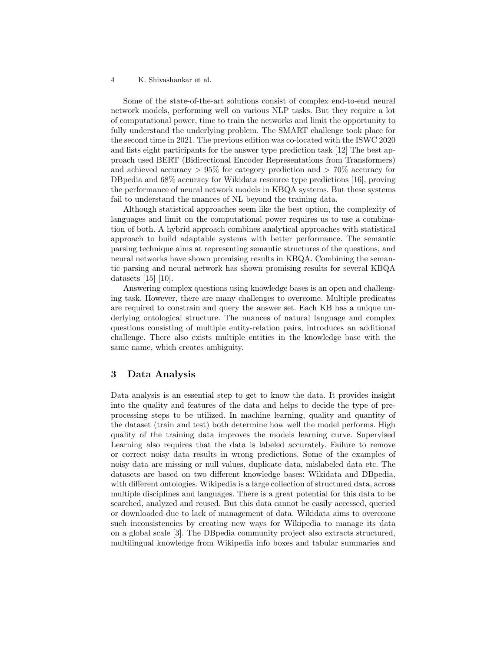Some of the state-of-the-art solutions consist of complex end-to-end neural network models, performing well on various NLP tasks. But they require a lot of computational power, time to train the networks and limit the opportunity to fully understand the underlying problem. The SMART challenge took place for the second time in 2021. The previous edition was co-located with the ISWC 2020 and lists eight participants for the answer type prediction task [12] The best approach used BERT (Bidirectional Encoder Representations from Transformers) and achieved accuracy  $> 95\%$  for category prediction and  $> 70\%$  accuracy for DBpedia and 68% accuracy for Wikidata resource type predictions [16], proving the performance of neural network models in KBQA systems. But these systems fail to understand the nuances of NL beyond the training data.

Although statistical approaches seem like the best option, the complexity of languages and limit on the computational power requires us to use a combination of both. A hybrid approach combines analytical approaches with statistical approach to build adaptable systems with better performance. The semantic parsing technique aims at representing semantic structures of the questions, and neural networks have shown promising results in KBQA. Combining the semantic parsing and neural network has shown promising results for several KBQA datasets [15] [10].

Answering complex questions using knowledge bases is an open and challenging task. However, there are many challenges to overcome. Multiple predicates are required to constrain and query the answer set. Each KB has a unique underlying ontological structure. The nuances of natural language and complex questions consisting of multiple entity-relation pairs, introduces an additional challenge. There also exists multiple entities in the knowledge base with the same name, which creates ambiguity.

## 3 Data Analysis

Data analysis is an essential step to get to know the data. It provides insight into the quality and features of the data and helps to decide the type of preprocessing steps to be utilized. In machine learning, quality and quantity of the dataset (train and test) both determine how well the model performs. High quality of the training data improves the models learning curve. Supervised Learning also requires that the data is labeled accurately. Failure to remove or correct noisy data results in wrong predictions. Some of the examples of noisy data are missing or null values, duplicate data, mislabeled data etc. The datasets are based on two different knowledge bases: Wikidata and DBpedia, with different ontologies. Wikipedia is a large collection of structured data, across multiple disciplines and languages. There is a great potential for this data to be searched, analyzed and reused. But this data cannot be easily accessed, queried or downloaded due to lack of management of data. Wikidata aims to overcome such inconsistencies by creating new ways for Wikipedia to manage its data on a global scale [3]. The DBpedia community project also extracts structured, multilingual knowledge from Wikipedia info boxes and tabular summaries and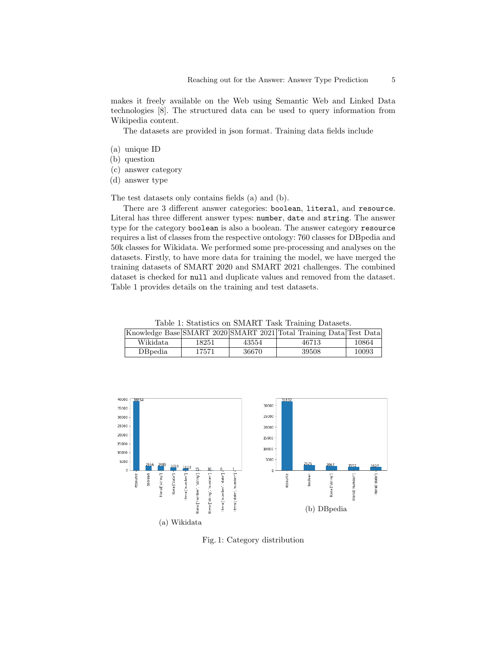makes it freely available on the Web using Semantic Web and Linked Data technologies [8]. The structured data can be used to query information from Wikipedia content.

The datasets are provided in json format. Training data fields include

- (a) unique ID
- (b) question
- (c) answer category
- (d) answer type

The test datasets only contains fields (a) and (b).

There are 3 different answer categories: boolean, literal, and resource. Literal has three different answer types: number, date and string. The answer type for the category boolean is also a boolean. The answer category resource requires a list of classes from the respective ontology: 760 classes for DBpedia and 50k classes for Wikidata. We performed some pre-processing and analyses on the datasets. Firstly, to have more data for training the model, we have merged the training datasets of SMART 2020 and SMART 2021 challenges. The combined dataset is checked for null and duplicate values and removed from the dataset. Table 1 provides details on the training and test datasets.

Table 1: Statistics on SMART Task Training Datasets.

|                             |       |       | Knowledge Base SMART 2020 SMART 2021 Total Training Data Test Data |       |
|-----------------------------|-------|-------|--------------------------------------------------------------------|-------|
| Wikidata                    | 18251 | 43554 | 46713                                                              | 10864 |
| <b>D</b> B <sub>pedia</sub> | 17571 | 36670 | 39508                                                              | 10093 |



Fig. 1: Category distribution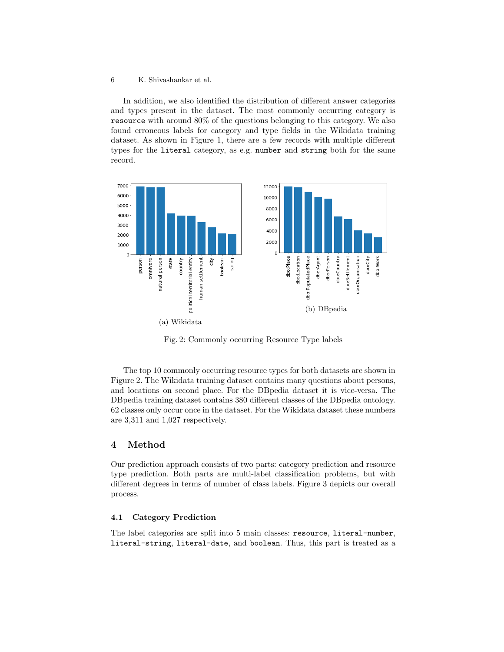In addition, we also identified the distribution of different answer categories and types present in the dataset. The most commonly occurring category is resource with around 80% of the questions belonging to this category. We also found erroneous labels for category and type fields in the Wikidata training dataset. As shown in Figure 1, there are a few records with multiple different types for the literal category, as e.g. number and string both for the same record.



Fig. 2: Commonly occurring Resource Type labels

The top 10 commonly occurring resource types for both datasets are shown in Figure 2. The Wikidata training dataset contains many questions about persons, and locations on second place. For the DBpedia dataset it is vice-versa. The DBpedia training dataset contains 380 different classes of the DBpedia ontology. 62 classes only occur once in the dataset. For the Wikidata dataset these numbers are 3,311 and 1,027 respectively.

## 4 Method

Our prediction approach consists of two parts: category prediction and resource type prediction. Both parts are multi-label classification problems, but with different degrees in terms of number of class labels. Figure 3 depicts our overall process.

#### 4.1 Category Prediction

The label categories are split into 5 main classes: resource, literal-number, literal-string, literal-date, and boolean. Thus, this part is treated as a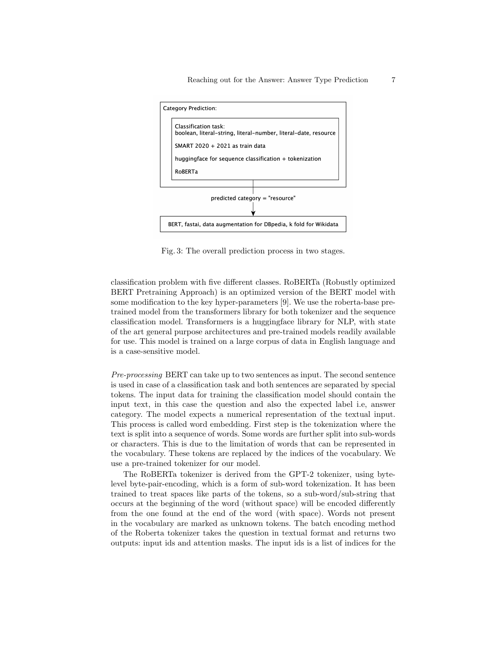

Fig. 3: The overall prediction process in two stages.

classification problem with five different classes. RoBERTa (Robustly optimized BERT Pretraining Approach) is an optimized version of the BERT model with some modification to the key hyper-parameters [9]. We use the roberta-base pretrained model from the transformers library for both tokenizer and the sequence classification model. Transformers is a huggingface library for NLP, with state of the art general purpose architectures and pre-trained models readily available for use. This model is trained on a large corpus of data in English language and is a case-sensitive model.

Pre-processing BERT can take up to two sentences as input. The second sentence is used in case of a classification task and both sentences are separated by special tokens. The input data for training the classification model should contain the input text, in this case the question and also the expected label i.e, answer category. The model expects a numerical representation of the textual input. This process is called word embedding. First step is the tokenization where the text is split into a sequence of words. Some words are further split into sub-words or characters. This is due to the limitation of words that can be represented in the vocabulary. These tokens are replaced by the indices of the vocabulary. We use a pre-trained tokenizer for our model.

The RoBERTa tokenizer is derived from the GPT-2 tokenizer, using bytelevel byte-pair-encoding, which is a form of sub-word tokenization. It has been trained to treat spaces like parts of the tokens, so a sub-word/sub-string that occurs at the beginning of the word (without space) will be encoded differently from the one found at the end of the word (with space). Words not present in the vocabulary are marked as unknown tokens. The batch encoding method of the Roberta tokenizer takes the question in textual format and returns two outputs: input ids and attention masks. The input ids is a list of indices for the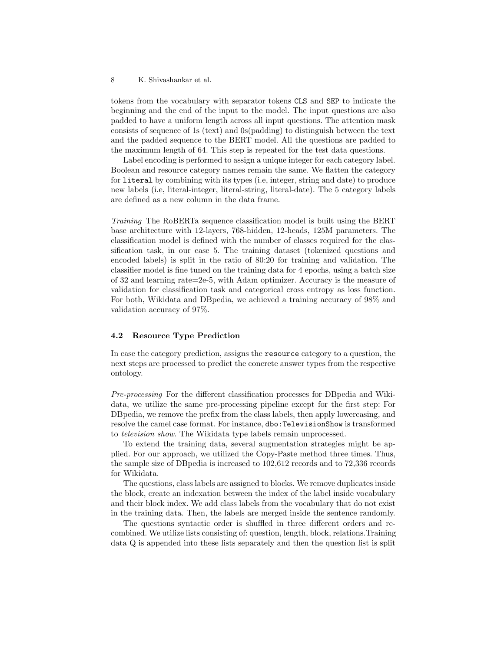tokens from the vocabulary with separator tokens CLS and SEP to indicate the beginning and the end of the input to the model. The input questions are also padded to have a uniform length across all input questions. The attention mask consists of sequence of 1s (text) and 0s(padding) to distinguish between the text and the padded sequence to the BERT model. All the questions are padded to the maximum length of 64. This step is repeated for the test data questions.

Label encoding is performed to assign a unique integer for each category label. Boolean and resource category names remain the same. We flatten the category for literal by combining with its types (i.e, integer, string and date) to produce new labels (i.e, literal-integer, literal-string, literal-date). The 5 category labels are defined as a new column in the data frame.

Training The RoBERTa sequence classification model is built using the BERT base architecture with 12-layers, 768-hidden, 12-heads, 125M parameters. The classification model is defined with the number of classes required for the classification task, in our case 5. The training dataset (tokenized questions and encoded labels) is split in the ratio of 80:20 for training and validation. The classifier model is fine tuned on the training data for 4 epochs, using a batch size of 32 and learning rate=2e-5, with Adam optimizer. Accuracy is the measure of validation for classification task and categorical cross entropy as loss function. For both, Wikidata and DBpedia, we achieved a training accuracy of 98% and validation accuracy of 97%.

### 4.2 Resource Type Prediction

In case the category prediction, assigns the resource category to a question, the next steps are processed to predict the concrete answer types from the respective ontology.

Pre-processing For the different classification processes for DBpedia and Wikidata, we utilize the same pre-processing pipeline except for the first step: For DBpedia, we remove the prefix from the class labels, then apply lowercasing, and resolve the camel case format. For instance, dbo:TelevisionShow is transformed to television show. The Wikidata type labels remain unprocessed.

To extend the training data, several augmentation strategies might be applied. For our approach, we utilized the Copy-Paste method three times. Thus, the sample size of DBpedia is increased to 102,612 records and to 72,336 records for Wikidata.

The questions, class labels are assigned to blocks. We remove duplicates inside the block, create an indexation between the index of the label inside vocabulary and their block index. We add class labels from the vocabulary that do not exist in the training data. Then, the labels are merged inside the sentence randomly.

The questions syntactic order is shuffled in three different orders and recombined. We utilize lists consisting of: question, length, block, relations.Training data Q is appended into these lists separately and then the question list is split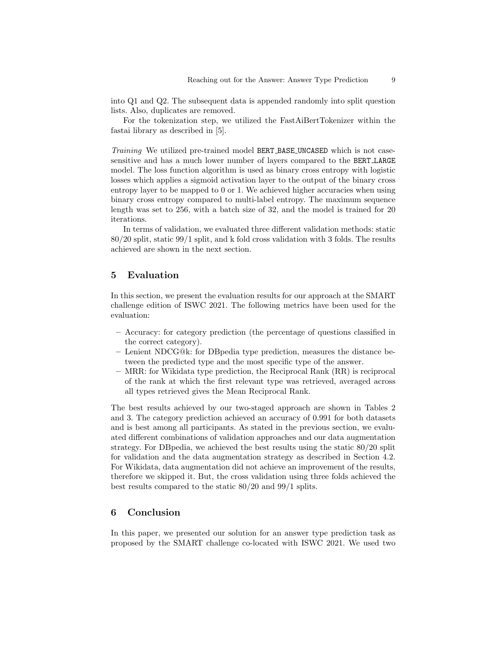into Q1 and Q2. The subsequent data is appended randomly into split question lists. Also, duplicates are removed.

For the tokenization step, we utilized the FastAiBertTokenizer within the fastai library as described in [5].

Training We utilized pre-trained model BERT BASE UNCASED which is not casesensitive and has a much lower number of layers compared to the BERT LARGE model. The loss function algorithm is used as binary cross entropy with logistic losses which applies a sigmoid activation layer to the output of the binary cross entropy layer to be mapped to 0 or 1. We achieved higher accuracies when using binary cross entropy compared to multi-label entropy. The maximum sequence length was set to 256, with a batch size of 32, and the model is trained for 20 iterations.

In terms of validation, we evaluated three different validation methods: static 80/20 split, static 99/1 split, and k fold cross validation with 3 folds. The results achieved are shown in the next section.

## 5 Evaluation

In this section, we present the evaluation results for our approach at the SMART challenge edition of ISWC 2021. The following metrics have been used for the evaluation:

- Accuracy: for category prediction (the percentage of questions classified in the correct category).
- Lenient NDCG@k: for DBpedia type prediction, measures the distance between the predicted type and the most specific type of the answer.
- MRR: for Wikidata type prediction, the Reciprocal Rank (RR) is reciprocal of the rank at which the first relevant type was retrieved, averaged across all types retrieved gives the Mean Reciprocal Rank.

The best results achieved by our two-staged approach are shown in Tables 2 and 3. The category prediction achieved an accuracy of 0.991 for both datasets and is best among all participants. As stated in the previous section, we evaluated different combinations of validation approaches and our data augmentation strategy. For DBpedia, we achieved the best results using the static 80/20 split for validation and the data augmentation strategy as described in Section 4.2. For Wikidata, data augmentation did not achieve an improvement of the results, therefore we skipped it. But, the cross validation using three folds achieved the best results compared to the static 80/20 and 99/1 splits.

## 6 Conclusion

In this paper, we presented our solution for an answer type prediction task as proposed by the SMART challenge co-located with ISWC 2021. We used two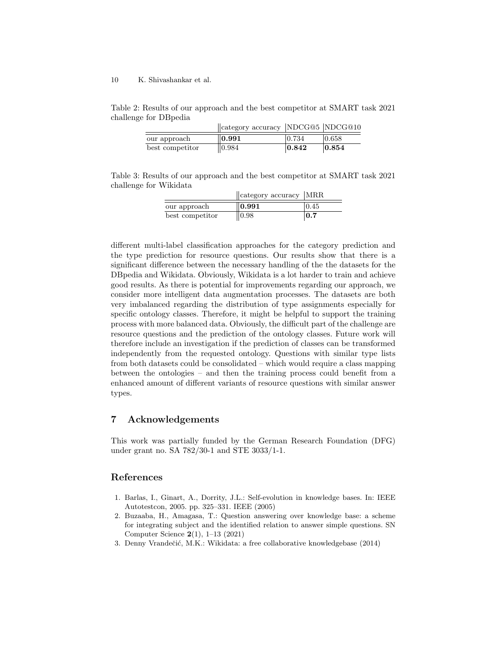Table 2: Results of our approach and the best competitor at SMART task 2021 challenge for DBpedia

|                 | $\parallel$ category accuracy NDCG@5 NDCG@10 |                     |       |
|-----------------|----------------------------------------------|---------------------|-------|
| our approach    | 0.991                                        | 10.734              | 0.658 |
| best competitor | 0.984                                        | $\vert 0.842 \vert$ | 0.854 |

Table 3: Results of our approach and the best competitor at SMART task 2021 challenge for Wikidata

|                 | $\vert$ category accuracy $\vert$ MRR |       |
|-----------------|---------------------------------------|-------|
| our approach    | 0.991                                 | 10.45 |
| best competitor | 0.98                                  | 0.7   |

different multi-label classification approaches for the category prediction and the type prediction for resource questions. Our results show that there is a significant difference between the necessary handling of the the datasets for the DBpedia and Wikidata. Obviously, Wikidata is a lot harder to train and achieve good results. As there is potential for improvements regarding our approach, we consider more intelligent data augmentation processes. The datasets are both very imbalanced regarding the distribution of type assignments especially for specific ontology classes. Therefore, it might be helpful to support the training process with more balanced data. Obviously, the difficult part of the challenge are resource questions and the prediction of the ontology classes. Future work will therefore include an investigation if the prediction of classes can be transformed independently from the requested ontology. Questions with similar type lists from both datasets could be consolidated – which would require a class mapping between the ontologies – and then the training process could benefit from a enhanced amount of different variants of resource questions with similar answer types.

# 7 Acknowledgements

This work was partially funded by the German Research Foundation (DFG) under grant no. SA 782/30-1 and STE 3033/1-1.

## References

- 1. Barlas, I., Ginart, A., Dorrity, J.L.: Self-evolution in knowledge bases. In: IEEE Autotestcon, 2005. pp. 325–331. IEEE (2005)
- 2. Buzaaba, H., Amagasa, T.: Question answering over knowledge base: a scheme for integrating subject and the identified relation to answer simple questions. SN Computer Science 2(1), 1–13 (2021)
- 3. Denny Vrandečić, M.K.: Wikidata: a free collaborative knowledgebase (2014)